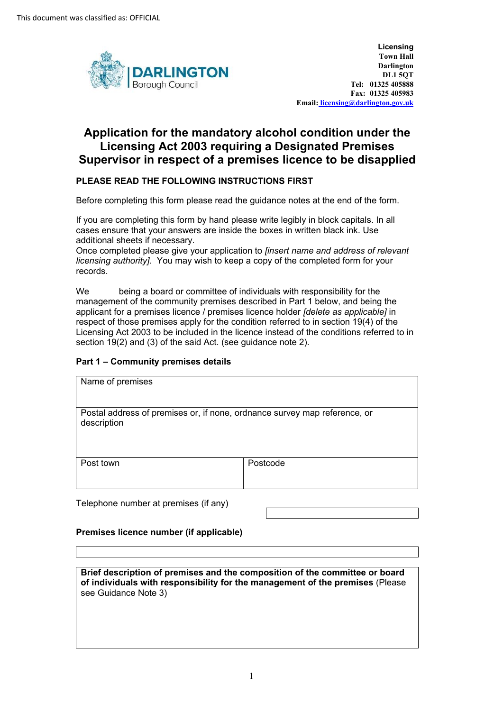

Darlington **Licensing Town Hall DL1 5QT Tel: 01325 405888 Fax: 01325 405983 Email: licensing@darlington.gov.uk** 

# **Application for the mandatory alcohol condition under the Licensing Act 2003 requiring a Designated Premises Supervisor in respect of a premises licence to be disapplied**

## **PLEASE READ THE FOLLOWING INSTRUCTIONS FIRST**

Before completing this form please read the guidance notes at the end of the form.

 If you are completing this form by hand please write legibly in block capitals. In all cases ensure that your answers are inside the boxes in written black ink. Use additional sheets if necessary.

Once completed please give your application to *[insert name and address of relevant licensing authority]*. You may wish to keep a copy of the completed form for your records.

We being a board or committee of individuals with responsibility for the management of the community premises described in Part 1 below, and being the applicant for a premises licence / premises licence holder *[delete as applicable]* in respect of those premises apply for the condition referred to in section 19(4) of the Licensing Act 2003 to be included in the licence instead of the conditions referred to in section 19(2) and (3) of the said Act. (see guidance note 2).

## **Part 1 – Community premises details**

| Name of premises                                                                         |          |  |
|------------------------------------------------------------------------------------------|----------|--|
| Postal address of premises or, if none, ordnance survey map reference, or<br>description |          |  |
| Post town                                                                                | Postcode |  |

Telephone number at premises (if any)

#### **Premises licence number (if applicable)**

**Brief description of premises and the composition of the committee or board of individuals with responsibility for the management of the premises** (Please see Guidance Note 3)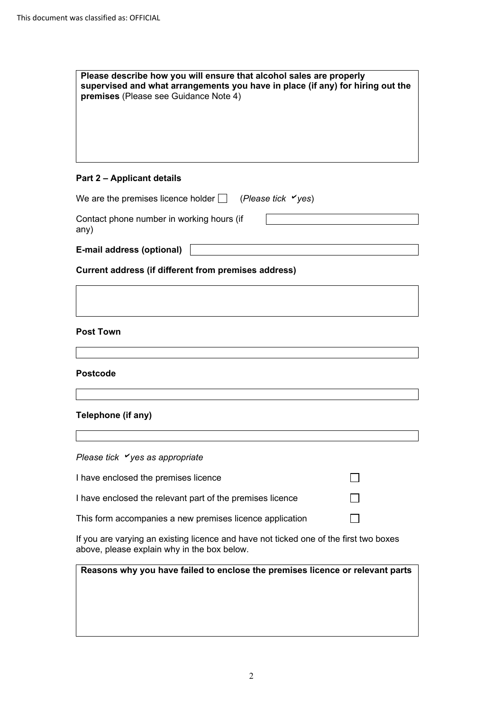| supervised and what arrangements you have in place (if any) for hiring out the<br>premises (Please see Guidance Note 4)              |                                                                               |
|--------------------------------------------------------------------------------------------------------------------------------------|-------------------------------------------------------------------------------|
|                                                                                                                                      |                                                                               |
|                                                                                                                                      |                                                                               |
|                                                                                                                                      |                                                                               |
| Part 2 – Applicant details                                                                                                           |                                                                               |
| We are the premises licence holder $\Box$ (Please tick $\checkmark$ yes)                                                             |                                                                               |
| Contact phone number in working hours (if<br>any)                                                                                    |                                                                               |
| E-mail address (optional)                                                                                                            |                                                                               |
| <b>Current address (if different from premises address)</b>                                                                          |                                                                               |
|                                                                                                                                      |                                                                               |
|                                                                                                                                      |                                                                               |
| <b>Post Town</b>                                                                                                                     |                                                                               |
|                                                                                                                                      |                                                                               |
| <b>Postcode</b>                                                                                                                      |                                                                               |
|                                                                                                                                      |                                                                               |
| Telephone (if any)                                                                                                                   |                                                                               |
|                                                                                                                                      |                                                                               |
| Please tick $\checkmark$ yes as appropriate                                                                                          |                                                                               |
| I have enclosed the premises licence                                                                                                 |                                                                               |
| I have enclosed the relevant part of the premises licence                                                                            |                                                                               |
| This form accompanies a new premises licence application                                                                             |                                                                               |
| If you are varying an existing licence and have not ticked one of the first two boxes<br>above, please explain why in the box below. |                                                                               |
|                                                                                                                                      | Reasons why you have failed to enclose the premises licence or relevant parts |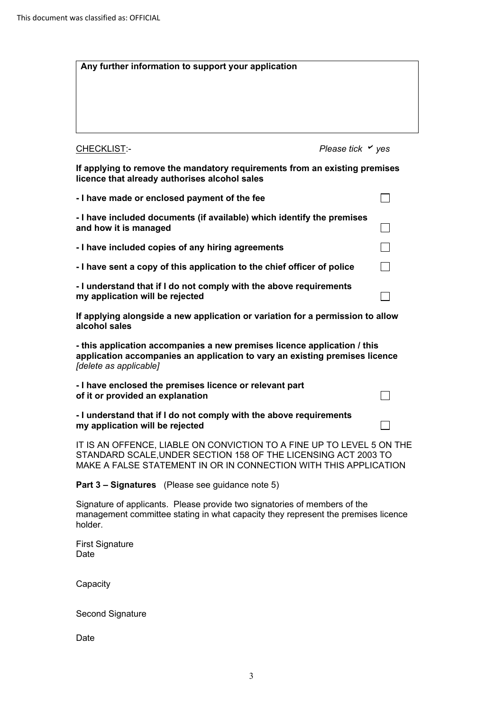| Any further information to support your application                                                                                                                                                         |                              |  |
|-------------------------------------------------------------------------------------------------------------------------------------------------------------------------------------------------------------|------------------------------|--|
|                                                                                                                                                                                                             |                              |  |
|                                                                                                                                                                                                             |                              |  |
|                                                                                                                                                                                                             |                              |  |
|                                                                                                                                                                                                             |                              |  |
| CHECKLIST:-                                                                                                                                                                                                 | Please tick $\checkmark$ yes |  |
| If applying to remove the mandatory requirements from an existing premises<br>licence that already authorises alcohol sales                                                                                 |                              |  |
| - I have made or enclosed payment of the fee                                                                                                                                                                |                              |  |
| - I have included documents (if available) which identify the premises<br>and how it is managed                                                                                                             |                              |  |
| - I have included copies of any hiring agreements                                                                                                                                                           |                              |  |
| - I have sent a copy of this application to the chief officer of police                                                                                                                                     |                              |  |
| - I understand that if I do not comply with the above requirements<br>my application will be rejected                                                                                                       |                              |  |
| If applying alongside a new application or variation for a permission to allow<br>alcohol sales                                                                                                             |                              |  |
| - this application accompanies a new premises licence application / this<br>application accompanies an application to vary an existing premises licence<br>[delete as applicable]                           |                              |  |
| - I have enclosed the premises licence or relevant part<br>of it or provided an explanation                                                                                                                 |                              |  |
| - I understand that if I do not comply with the above requirements<br>my application will be rejected                                                                                                       |                              |  |
| IT IS AN OFFENCE, LIABLE ON CONVICTION TO A FINE UP TO LEVEL 5 ON THE<br>STANDARD SCALE, UNDER SECTION 158 OF THE LICENSING ACT 2003 TO<br>MAKE A FALSE STATEMENT IN OR IN CONNECTION WITH THIS APPLICATION |                              |  |
| <b>Part 3 - Signatures</b> (Please see guidance note 5)                                                                                                                                                     |                              |  |
|                                                                                                                                                                                                             |                              |  |

 Signature of applicants. Please provide two signatories of members of the management committee stating in what capacity they represent the premises licence holder.

First Signature Date

**Capacity** 

Second Signature

Date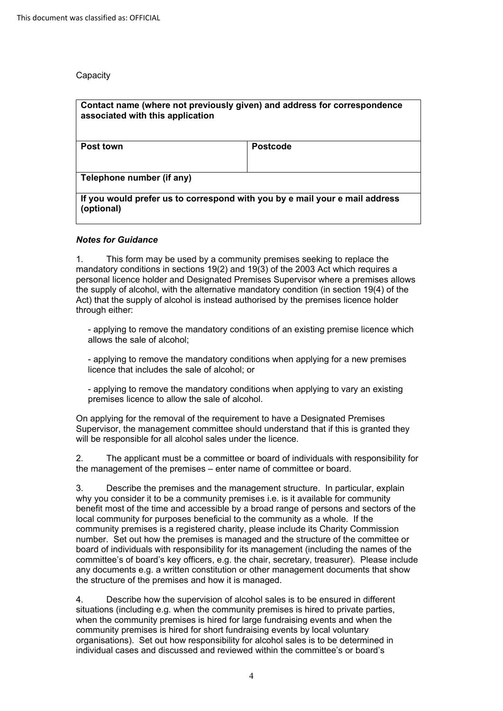**Capacity** 

| Contact name (where not previously given) and address for correspondence<br>associated with this application |                 |  |
|--------------------------------------------------------------------------------------------------------------|-----------------|--|
| <b>Post town</b>                                                                                             | <b>Postcode</b> |  |
|                                                                                                              |                 |  |
| Telephone number (if any)                                                                                    |                 |  |
| If you would prefer us to correspond with you by e mail your e mail address<br>(optional)                    |                 |  |

### *Notes for Guidance*

1. This form may be used by a community premises seeking to replace the mandatory conditions in sections 19(2) and 19(3) of the 2003 Act which requires a personal licence holder and Designated Premises Supervisor where a premises allows the supply of alcohol, with the alternative mandatory condition (in section 19(4) of the Act) that the supply of alcohol is instead authorised by the premises licence holder through either:

- applying to remove the mandatory conditions of an existing premise licence which allows the sale of alcohol;

- applying to remove the mandatory conditions when applying for a new premises licence that includes the sale of alcohol; or

- applying to remove the mandatory conditions when applying to vary an existing premises licence to allow the sale of alcohol.

On applying for the removal of the requirement to have a Designated Premises Supervisor, the management committee should understand that if this is granted they will be responsible for all alcohol sales under the licence.

2. The applicant must be a committee or board of individuals with responsibility for the management of the premises – enter name of committee or board.

 committee's of board's key officers, e.g. the chair, secretary, treasurer). Please include 3. Describe the premises and the management structure. In particular, explain why you consider it to be a community premises i.e. is it available for community benefit most of the time and accessible by a broad range of persons and sectors of the local community for purposes beneficial to the community as a whole. If the community premises is a registered charity, please include its Charity Commission number. Set out how the premises is managed and the structure of the committee or board of individuals with responsibility for its management (including the names of the any documents e.g. a written constitution or other management documents that show the structure of the premises and how it is managed.

 organisations). Set out how responsibility for alcohol sales is to be determined in 4. Describe how the supervision of alcohol sales is to be ensured in different situations (including e.g. when the community premises is hired to private parties, when the community premises is hired for large fundraising events and when the community premises is hired for short fundraising events by local voluntary individual cases and discussed and reviewed within the committee's or board's